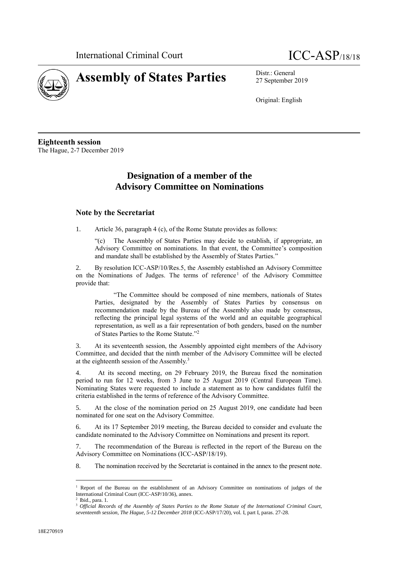



27 September 2019

Original: English

**Eighteenth session** The Hague, 2-7 December 2019

# **Designation of a member of the Advisory Committee on Nominations**

# **Note by the Secretariat**

1. Article 36, paragraph 4 (c), of the Rome Statute provides as follows:

"(c) The Assembly of States Parties may decide to establish, if appropriate, an Advisory Committee on nominations. In that event, the Committee's composition and mandate shall be established by the Assembly of States Parties."

2. By resolution ICC-ASP/10/Res.5, the Assembly established an Advisory Committee on the Nominations of Judges. The terms of reference<sup>1</sup> of the Advisory Committee provide that:

"The Committee should be composed of nine members, nationals of States Parties, designated by the Assembly of States Parties by consensus on recommendation made by the Bureau of the Assembly also made by consensus, reflecting the principal legal systems of the world and an equitable geographical representation, as well as a fair representation of both genders, based on the number of States Parties to the Rome Statute."<sup>2</sup>

3. At its seventeenth session, the Assembly appointed eight members of the Advisory Committee, and decided that the ninth member of the Advisory Committee will be elected at the eighteenth session of the Assembly.<sup>3</sup>

4. At its second meeting, on 29 February 2019, the Bureau fixed the nomination period to run for 12 weeks, from 3 June to 25 August 2019 (Central European Time). Nominating States were requested to include a statement as to how candidates fulfil the criteria established in the terms of reference of the Advisory Committee.

5. At the close of the nomination period on 25 August 2019, one candidate had been nominated for one seat on the Advisory Committee.

6. At its 17 September 2019 meeting, the Bureau decided to consider and evaluate the candidate nominated to the Advisory Committee on Nominations and present its report.

7. The recommendation of the Bureau is reflected in the report of the Bureau on the Advisory Committee on Nominations (ICC-ASP/18/19).

8. The nomination received by the Secretariat is contained in the annex to the present note.

<sup>1</sup> Report of the Bureau on the establishment of an Advisory Committee on nominations of judges of the International Criminal Court (ICC-ASP/10/36), annex. 2

Ibid., para. 1.

<sup>3</sup> *Official Records of the Assembly of States Parties to the Rome Statute of the International Criminal Court, seventeenth session, The Hague, 5-12 December 2018* (ICC-ASP/17/20), vol. I, part I, paras. 27-28.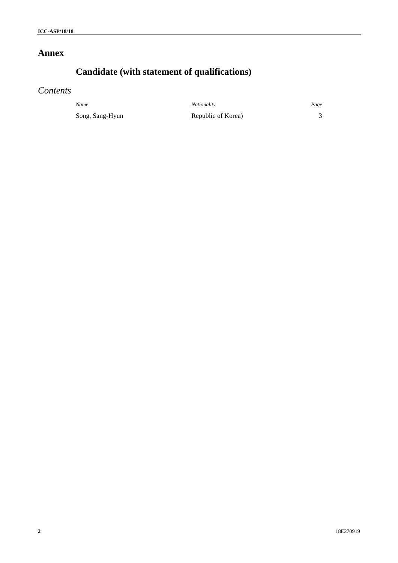# **Annex**

# **Candidate (with statement of qualifications)**

# *Contents*

*Name Nationality Page* Song, Sang-Hyun Republic of Korea) 3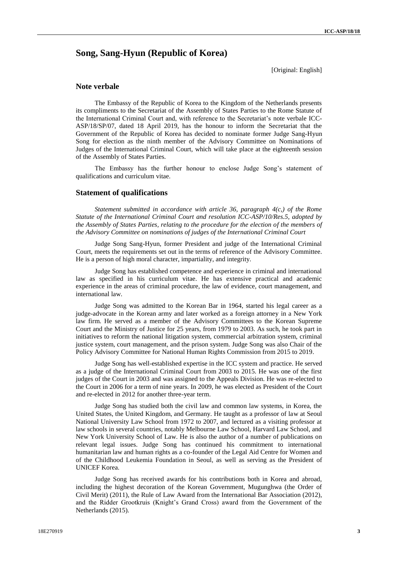# **Song, Sang-Hyun (Republic of Korea)**

[Original: English]

# **Note verbale**

The Embassy of the Republic of Korea to the Kingdom of the Netherlands presents its compliments to the Secretariat of the Assembly of States Parties to the Rome Statute of the International Criminal Court and, with reference to the Secretariat's note verbale ICC-ASP/18/SP/07, dated 18 April 2019, has the honour to inform the Secretariat that the Government of the Republic of Korea has decided to nominate former Judge Sang-Hyun Song for election as the ninth member of the Advisory Committee on Nominations of Judges of the International Criminal Court, which will take place at the eighteenth session of the Assembly of States Parties.

The Embassy has the further honour to enclose Judge Song's statement of qualifications and curriculum vitae.

## **Statement of qualifications**

*Statement submitted in accordance with article 36, paragraph 4(c,) of the Rome Statute of the International Criminal Court and resolution ICC-ASP/10/Res.5, adopted by the Assembly of States Parties, relating to the procedure for the election of the members of the Advisory Committee on nominations of judges of the International Criminal Court*

Judge Song Sang-Hyun, former President and judge of the International Criminal Court, meets the requirements set out in the terms of reference of the Advisory Committee. He is a person of high moral character, impartiality, and integrity.

Judge Song has established competence and experience in criminal and international law as specified in his curriculum vitae. He has extensive practical and academic experience in the areas of criminal procedure, the law of evidence, court management, and international law.

Judge Song was admitted to the Korean Bar in 1964, started his legal career as a judge-advocate in the Korean army and later worked as a foreign attorney in a New York law firm. He served as a member of the Advisory Committees to the Korean Supreme Court and the Ministry of Justice for 25 years, from 1979 to 2003. As such, he took part in initiatives to reform the national litigation system, commercial arbitration system, criminal justice system, court management, and the prison system. Judge Song was also Chair of the Policy Advisory Committee for National Human Rights Commission from 2015 to 2019*.*

Judge Song has well-established expertise in the ICC system and practice. He served as a judge of the International Criminal Court from 2003 to 2015. He was one of the first judges of the Court in 2003 and was assigned to the Appeals Division. He was re-elected to the Court in 2006 for a term of nine years. In 2009, he was elected as President of the Court and re-elected in 2012 for another three-year term.

Judge Song has studied both the civil law and common law systems, in Korea, the United States, the United Kingdom, and Germany. He taught as a professor of law at Seoul National University Law School from 1972 to 2007, and lectured as a visiting professor at law schools in several countries, notably Melbourne Law School, Harvard Law School, and New York University School of Law. He is also the author of a number of publications on relevant legal issues. Judge Song has continued his commitment to international humanitarian law and human rights as a co-founder of the Legal Aid Centre for Women and of the Childhood Leukemia Foundation in Seoul, as well as serving as the President of UNICEF Korea.

Judge Song has received awards for his contributions both in Korea and abroad, including the highest decoration of the Korean Government, Mugunghwa (the Order of Civil Merit) (2011), the Rule of Law Award from the International Bar Association (2012), and the Ridder Grootkruis (Knight's Grand Cross) award from the Government of the Netherlands (2015).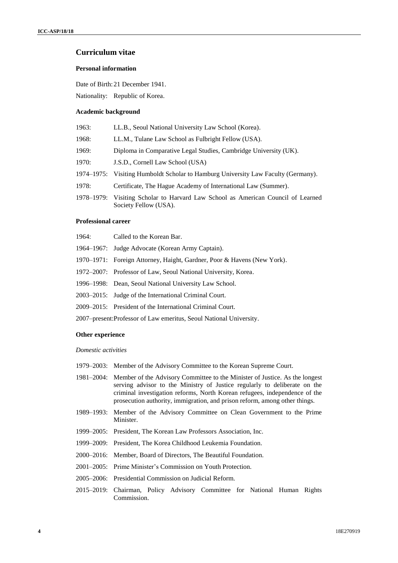# **Curriculum vitae**

## **Personal information**

Date of Birth: 21 December 1941.

Nationality: Republic of Korea.

### **Academic background**

| LL.B., Seoul National University Law School (Korea).                                           |
|------------------------------------------------------------------------------------------------|
| LL.M., Tulane Law School as Fulbright Fellow (USA).                                            |
| Diploma in Comparative Legal Studies, Cambridge University (UK).                               |
| J.S.D., Cornell Law School (USA)                                                               |
| 1974–1975: Visiting Humboldt Scholar to Hamburg University Law Faculty (Germany).              |
| Certificate, The Hague Academy of International Law (Summer).                                  |
| Visiting Scholar to Harvard Law School as American Council of Learned<br>Society Fellow (USA). |
|                                                                                                |

### **Professional career**

| 1964: | Called to the Korean Bar.                                               |
|-------|-------------------------------------------------------------------------|
|       | 1964–1967: Judge Advocate (Korean Army Captain).                        |
|       | 1970–1971: Foreign Attorney, Haight, Gardner, Poor & Havens (New York). |
|       | 1972–2007: Professor of Law, Seoul National University, Korea.          |
|       | 1996–1998: Dean, Seoul National University Law School.                  |
|       | 2003–2015: Judge of the International Criminal Court.                   |
|       | 2009–2015: President of the International Criminal Court.               |
|       |                                                                         |

2007–present:Professor of Law emeritus, Seoul National University.

### **Other experience**

*Domestic activities*

- 1979–2003: Member of the Advisory Committee to the Korean Supreme Court.
- 1981–2004: Member of the Advisory Committee to the Minister of Justice. As the longest serving advisor to the Ministry of Justice regularly to deliberate on the criminal investigation reforms, North Korean refugees, independence of the prosecution authority, immigration, and prison reform, among other things.
- 1989–1993: Member of the Advisory Committee on Clean Government to the Prime Minister.
- 1999–2005: President, The Korean Law Professors Association, Inc.
- 1999–2009: President, The Korea Childhood Leukemia Foundation.
- 2000–2016: Member, Board of Directors, The Beautiful Foundation.
- 2001–2005: Prime Minister's Commission on Youth Protection.
- 2005–2006: Presidential Commission on Judicial Reform.
- 2015–2019: Chairman, Policy Advisory Committee for National Human Rights Commission.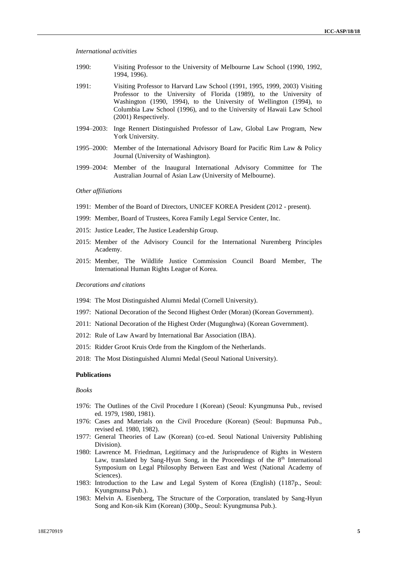*International activities*

- 1990: Visiting Professor to the University of Melbourne Law School (1990, 1992, 1994, 1996).
- 1991: Visiting Professor to Harvard Law School (1991, 1995, 1999, 2003) Visiting Professor to the University of Florida (1989), to the University of Washington (1990, 1994), to the University of Wellington (1994), to Columbia Law School (1996), and to the University of Hawaii Law School (2001) Respectively.
- 1994–2003: Inge Rennert Distinguished Professor of Law, Global Law Program, New York University.
- 1995–2000: Member of the International Advisory Board for Pacific Rim Law & Policy Journal (University of Washington).
- 1999–2004: Member of the Inaugural International Advisory Committee for The Australian Journal of Asian Law (University of Melbourne).

#### *Other affiliations*

- 1991: Member of the Board of Directors, UNICEF KOREA President (2012 present).
- 1999: Member, Board of Trustees, Korea Family Legal Service Center, Inc.
- 2015: Justice Leader, The Justice Leadership Group.
- 2015: Member of the Advisory Council for the International Nuremberg Principles Academy.
- 2015: Member, The Wildlife Justice Commission Council Board Member, The International Human Rights League of Korea.

*Decorations and citations*

- 1994: The Most Distinguished Alumni Medal (Cornell University).
- 1997: National Decoration of the Second Highest Order (Moran) (Korean Government).
- 2011: National Decoration of the Highest Order (Mugunghwa) (Korean Government).
- 2012: Rule of Law Award by International Bar Association (IBA).
- 2015: Ridder Groot Kruis Orde from the Kingdom of the Netherlands.
- 2018: The Most Distinguished Alumni Medal (Seoul National University).

#### **Publications**

*Books*

- 1976: The Outlines of the Civil Procedure I (Korean) (Seoul: Kyungmunsa Pub., revised ed. 1979, 1980, 1981).
- 1976: Cases and Materials on the Civil Procedure (Korean) (Seoul: Bupmunsa Pub., revised ed. 1980, 1982).
- 1977: General Theories of Law (Korean) (co-ed. Seoul National University Publishing Division).
- 1980: Lawrence M. Friedman, Legitimacy and the Jurisprudence of Rights in Western Law, translated by Sang-Hyun Song, in the Proceedings of the  $8<sup>th</sup>$  International Symposium on Legal Philosophy Between East and West (National Academy of Sciences).
- 1983: Introduction to the Law and Legal System of Korea (English) (1187p., Seoul: Kyungmunsa Pub.).
- 1983: Melvin A. Eisenberg, The Structure of the Corporation, translated by Sang-Hyun Song and Kon-sik Kim (Korean) (300p., Seoul: Kyungmunsa Pub.).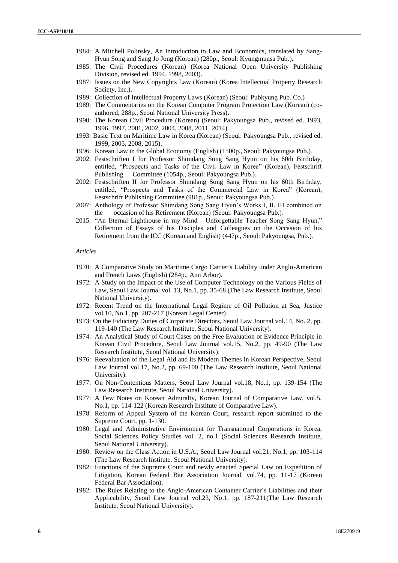- 1984: A Mitchell Polinsky, An Introduction to Law and Economics, translated by Sang-Hyun Song and Sang Jo Jong (Korean) (280p., Seoul: Kyungmunsa Pub.).
- 1985: The Civil Procedures (Korean) (Korea National Open University Publishing Division, revised ed. 1994, 1998, 2003).
- 1987: Issues on the New Copyrights Law (Korean) (Korea Intellectual Property Research Society, Inc.).
- 1989: Collection of Intellectual Property Laws (Korean) (Seoul: Pubkyung Pub. Co.)
- 1989: The Commentaries on the Korean Computer Program Protection Law (Korean) (coauthored, 288p., Seoul National University Press).
- 1990: The Korean Civil Procedure (Korean) (Seoul: Pakyoungsa Pub., revised ed. 1993, 1996, 1997, 2001, 2002, 2004, 2008, 2011, 2014).
- 1993: Basic Text on Maritime Law in Korea (Korean) (Seoul: Pakyoungsa Pub., revised ed. 1999, 2005, 2008, 2015).
- 1996: Korean Law in the Global Economy (English) (1500p., Seoul: Pakyoungsa Pub.).
- 2002: Festschriften I for Professor Shimdang Song Sang Hyun on his 60th Birthday, entitled, "Prospects and Tasks of the Civil Law in Korea" (Korean), Festschrift Publishing Committee (1054p., Seoul: Pakyoungsa Pub.).
- 2002: Festschriften II for Professor Shimdang Song Sang Hyun on his 60th Birthday, entitled, "Prospects and Tasks of the Commercial Law in Korea" (Korean), Festschrift Publishing Committee (981p., Seoul: Pakyoungsa Pub.).
- 2007: Anthology of Professor Shimdang Song Sang Hyun's Works I, II, III combined on the occasion of his Retirement (Korean) (Seoul: Pakyoungsa Pub.).
- 2015: "An Eternal Lighthouse in my Mind Unforgettable Teacher Song Sang Hyun," Collection of Essays of his Disciples and Colleagues on the Occasion of his Retirement from the ICC (Korean and English) (447p., Seoul: Pakyoungsa, Pub.).

#### *Articles*

- 1970: A Comparative Study on Maritime Cargo Carrier's Liability under Anglo-American and French Laws (English) (284p., Ann Arbor).
- 1972: A Study on the Impact of the Use of Computer Technology on the Various Fields of Law, Seoul Law Journal vol. 13, No.1, pp. 35-68 (The Law Research Institute, Seoul National University).
- 1972: Recent Trend on the International Legal Regime of Oil Pollution at Sea, Justice vol.10, No.1, pp. 207-217 (Korean Legal Center).
- 1973: On the Fiduciary Duties of Corporate Directors, Seoul Law Journal vol.14, No. 2, pp. 119-140 (The Law Research Institute, Seoul National University).
- 1974: An Analytical Study of Court Cases on the Free Evaluation of Evidence Principle in Korean Civil Procedure, Seoul Law Journal vol.15, No.2, pp. 49-90 (The Law Research Institute, Seoul National University).
- 1976: Reevaluation of the Legal Aid and its Modern Themes in Korean Perspective, Seoul Law Journal vol.17, No.2, pp. 69-100 (The Law Research Institute, Seoul National University).
- 1977: On Non-Contentious Matters, Seoul Law Journal vol.18, No.1, pp. 139-154 (The Law Research Institute, Seoul National University).
- 1977: A Few Notes on Korean Admiralty, Korean Journal of Comparative Law, vol.5, No.1, pp. 114-122 (Korean Research Institute of Comparative Law).
- 1978: Reform of Appeal System of the Korean Court, research report submitted to the Supreme Court, pp. 1-130.
- 1980: Legal and Administrative Environment for Transnational Corporations in Korea, Social Sciences Policy Studies vol. 2, no.1 (Social Sciences Research Institute, Seoul National University).
- 1980: Review on the Class Action in U.S.A., Seoul Law Journal vol.21, No.1, pp. 103-114 (The Law Research Institute, Seoul National University).
- 1982: Functions of the Supreme Court and newly enacted Special Law on Expedition of Litigation, Korean Federal Bar Association Journal, vol.74, pp. 11-17 (Korean Federal Bar Association).
- 1982: The Rules Relating to the Anglo-American Container Carrier's Liabilities and their Applicability, Seoul Law Journal vol.23, No.1, pp. 187-211(The Law Research Institute, Seoul National University).